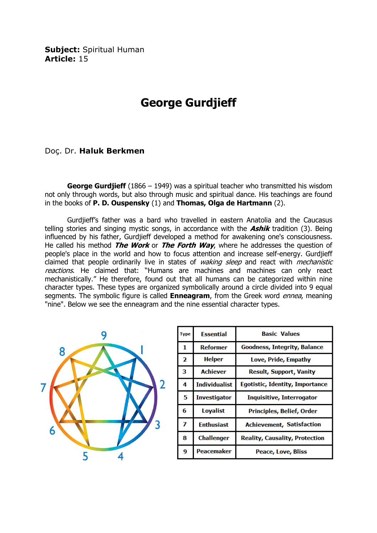Subject: Spiritual Human Article: 15

## George Gurdjieff

Doç. Dr. Haluk Berkmen

**George Gurdjieff** (1866 – 1949) was a spiritual teacher who transmitted his wisdom not only through words, but also through music and spiritual dance. His teachings are found in the books of **P. D. Ouspensky**  $(1)$  and **Thomas, Olga de Hartmann**  $(2)$ .

 Gurdjieff's father was a bard who travelled in eastern Anatolia and the Caucasus telling stories and singing mystic songs, in accordance with the  $\Delta shift$  tradition (3). Being influenced by his father, Gurdjieff developed a method for awakening one's consciousness. He called his method The Work or The Forth Way, where he addresses the question of people's place in the world and how to focus attention and increase self-energy. Gurdjieff claimed that people ordinarily live in states of *waking sleep* and react with *mechanistic* reactions. He claimed that: "Humans are machines and machines can only react mechanistically." He therefore, found out that all humans can be categorized within nine character types. These types are organized symbolically around a circle divided into 9 equal segments. The symbolic figure is called **Enneagram**, from the Greek word *ennea*, meaning "nine". Below we see the enneagram and the nine essential character types.



| <b>Type</b> | <b>Essential</b>     | <b>Basic Values</b>                   |
|-------------|----------------------|---------------------------------------|
| 1           | <b>Reformer</b>      | Goodness, Integrity, Balance          |
| 2           | <b>Helper</b>        | Love, Pride, Empathy                  |
| з           | <b>Achiever</b>      | <b>Result, Support, Vanity</b>        |
| 4           | <b>Individualist</b> | Egotistic, Identity, Importance       |
| 5           | <b>Investigator</b>  | Inquisitive, Interrogator             |
| 6           | <b>Loyalist</b>      | Principles, Belief, Order             |
| 7           | <b>Fnthusiast</b>    | <b>Achievement, Satisfaction</b>      |
| 8           | <b>Challenger</b>    | <b>Reality, Causality, Protection</b> |
| 9           | Peacemaker           | Peace, Love, Bliss                    |